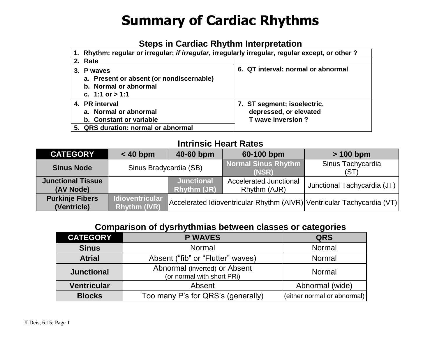### **Steps in Cardiac Rhythm Interpretation**

| 1. Rhythm: regular or irregular; if irregular, irregularly irregular, regular except, or other?           |                                                                            |  |  |  |  |  |  |  |
|-----------------------------------------------------------------------------------------------------------|----------------------------------------------------------------------------|--|--|--|--|--|--|--|
| 2. Rate                                                                                                   |                                                                            |  |  |  |  |  |  |  |
| 3. P waves<br>a. Present or absent (or nondiscernable)<br>b. Normal or abnormal<br>c. 1:1 or $> 1:1$      | 6. QT interval: normal or abnormal                                         |  |  |  |  |  |  |  |
| 4. PR interval<br>a. Normal or abnormal<br>b. Constant or variable<br>5. QRS duration: normal or abnormal | 7. ST segment: isoelectric,<br>depressed, or elevated<br>T wave inversion? |  |  |  |  |  |  |  |

#### **Intrinsic Heart Rates**

| <b>CATEGORY</b>                       | 40-60 bpm<br>$< 40$ bpm                       |                                         | 60-100 bpm                                    | $> 100$ bpm                                                            |  |
|---------------------------------------|-----------------------------------------------|-----------------------------------------|-----------------------------------------------|------------------------------------------------------------------------|--|
| <b>Sinus Node</b>                     | Sinus Bradycardia (SB)                        |                                         | <b>Normal Sinus Rhythm</b><br>(NSR)           | Sinus Tachycardia<br>(ST)                                              |  |
| <b>Junctional Tissue</b><br>(AV Node) |                                               | <b>Junctional</b><br><b>Rhythm (JR)</b> | <b>Accelerated Junctional</b><br>Rhythm (AJR) | Junctional Tachycardia (JT)                                            |  |
| <b>Purkinje Fibers</b><br>(Ventricle) | <b>Idioventricular</b><br><b>Rhythm (IVR)</b> |                                         |                                               | Accelerated Idioventricular Rhythm (AIVR) Ventricular Tachycardia (VT) |  |

#### **Comparison of dysrhythmias between classes or categories**

| <b>CATEGORY</b>    | <b>P WAVES</b>                                              | <b>QRS</b>                  |  |
|--------------------|-------------------------------------------------------------|-----------------------------|--|
| <b>Sinus</b>       | Normal                                                      | Normal                      |  |
| <b>Atrial</b>      | Absent ("fib" or "Flutter" waves)                           | Normal                      |  |
| <b>Junctional</b>  | Abnormal (inverted) or Absent<br>(or normal with short PRi) | Normal                      |  |
| <b>Ventricular</b> | Absent                                                      | Abnormal (wide)             |  |
| <b>Blocks</b>      | Too many P's for QRS's (generally)                          | (either normal or abnormal) |  |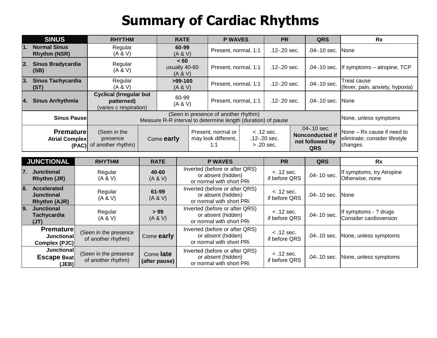|                  | <b>SINUS</b>                                                                                                | <b>RHYTHM</b>                                                          |                                                                                                       | <b>RATE</b>                              | <b>P WAVES</b>       |                                                                             | <b>PR</b>                                                              |  | <b>QRS</b>            | Rx                                             |
|------------------|-------------------------------------------------------------------------------------------------------------|------------------------------------------------------------------------|-------------------------------------------------------------------------------------------------------|------------------------------------------|----------------------|-----------------------------------------------------------------------------|------------------------------------------------------------------------|--|-----------------------|------------------------------------------------|
| $\overline{1}$ . | <b>Normal Sinus</b><br><b>Rhythm (NSR)</b>                                                                  | Regular<br>(A & W)                                                     |                                                                                                       | 60-99<br>(A & V)                         | Present, normal, 1:1 |                                                                             | $.12 - .20$ sec.                                                       |  | .04-.10 sec. None     |                                                |
| $\overline{2}$ . | <b>Sinus Bradycardia</b><br>(SB)                                                                            | Regular<br>(A & W)                                                     |                                                                                                       | < 60<br>usually 40-60<br>(A & W)         | Present, normal, 1:1 |                                                                             | $.12 - .20$ sec.                                                       |  |                       | .04-.10 sec.   If symptoms - atropine, TCP     |
| 3.               | <b>Sinus Tachycardia</b><br>(ST)                                                                            | Regular<br>(A & W)                                                     |                                                                                                       | $>99-160$<br>(A & V)                     | Present, normal, 1:1 |                                                                             | .12-.20 sec.                                                           |  | $.04 - .10$ sec.      | Treat cause<br>(fever, pain, anxiety, hypoxia) |
| 14.              | <b>Sinus Arrhythmia</b>                                                                                     | <b>Cyclical (Irregular but</b><br>patterned)<br>(varies c respiration) |                                                                                                       | 60-99<br>Present, normal, 1:1<br>(A & V) |                      |                                                                             | $.12 - .20$ sec.                                                       |  | .04-.10 sec. None     |                                                |
|                  | <b>Sinus Pausel</b>                                                                                         |                                                                        | (Seen in presence of another rhythm)<br>Measure R-R interval to determine length (duration) of pause  |                                          |                      |                                                                             |                                                                        |  | None, unless symptoms |                                                |
|                  | <b>Premature</b><br>(Seen in the<br>Come early<br>Atrial Complex<br>presence<br>of another rhythm)<br>(PAC) |                                                                        | Present, normal or<br>$<$ .12 sec.<br>may look different,<br>$.12 - .20$ sec.<br>$> 0.20$ sec.<br>1:1 |                                          |                      | $.04 - .10$ sec.<br><b>Nonconducted if</b><br>not followed by<br><b>QRS</b> | None – Rx cause if need to<br>eliminate; consider lifestyle<br>changes |  |                       |                                                |

|           | <b>JUNCTIONAL</b>                                                                                                      | <b>RHYTHM</b>      | <b>RATE</b>                                                                      | <b>P WAVES</b>                                                                   | <b>PR</b>                     | <b>QRS</b>                         | <b>Rx</b>                                       |
|-----------|------------------------------------------------------------------------------------------------------------------------|--------------------|----------------------------------------------------------------------------------|----------------------------------------------------------------------------------|-------------------------------|------------------------------------|-------------------------------------------------|
| <b>7.</b> | <b>Junctional</b><br>Rhythm (JR)                                                                                       | Regular<br>(A & W) | 40-60<br>(A & V)                                                                 | Inverted (before or after QRS)<br>or absent (hidden)<br>or normal with short PRi | $<$ .12 sec.<br>if before QRS | .04-.10 sec.                       | If symptoms, try Atropine<br>Otherwise, none    |
| I8.       | <b>Accelerated</b><br><b>Junctional</b><br><b>Rhythm (AJR)</b>                                                         | Regular<br>(A & V) | 61-99<br>(A & V)                                                                 | Inverted (before or after QRS)<br>or absent (hidden)<br>or normal with short PRi | $<$ .12 sec.<br>if before QRS |                                    | .04-.10 sec. None                               |
| 9.        | <b>Junctional</b><br><b>Tachycardia</b><br>(JT)                                                                        | Regular<br>(A & W) | > 99<br>(A & V)                                                                  | Inverted (before or after QRS)<br>or absent (hidden)<br>or normal with short PRi | $<$ .12 sec.<br>if before QRS | $.04 - .10$ sec.                   | If symptoms - ? drugs<br>Consider cardioversion |
|           | <b>Premature</b><br>(Seen in the presence<br>Junctional<br>of another rhythm)<br>Complex (PJC)                         |                    | Come early                                                                       | Inverted (before or after QRS)<br>or absent (hidden)<br>or normal with short PRi | $<$ .12 sec.<br>if before QRS |                                    | .04-.10 sec. None, unless symptoms              |
|           | Junctional<br>Come late<br>(Seen in the presence<br><b>Escape Beat</b><br>of another rhythm)<br>(after pause)<br>(JEB) |                    | Inverted (before or after QRS)<br>or absent (hidden)<br>or normal with short PRi | $<$ .12 sec.<br>if before QRS                                                    |                               | .04-.10 sec. None, unless symptoms |                                                 |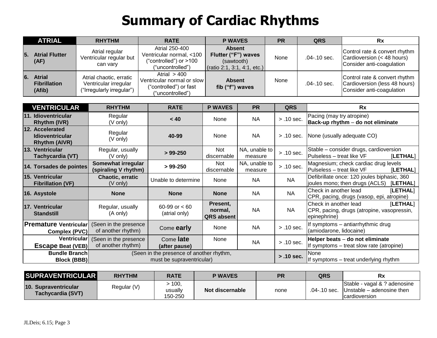|          | <b>ATRIAL</b>                                  | <b>RHYTHM</b>                                                                 | <b>RATE</b>                                                                               | <b>P WAVES</b>                                                                    | <b>PR</b> | <b>QRS</b>      | Rx                                                                                          |
|----------|------------------------------------------------|-------------------------------------------------------------------------------|-------------------------------------------------------------------------------------------|-----------------------------------------------------------------------------------|-----------|-----------------|---------------------------------------------------------------------------------------------|
| 5        | <b>Atrial Flutter</b><br>(AF)                  | Atrial regular<br>Ventricular regular but<br>can vary                         | Atrial 250-400<br>Ventricular normal, <100<br>"controlled") or >100<br>("uncontrolled")   | <b>Absent</b><br>Flutter ("F") waves<br>(sawtooth)<br>(ratio 2:1, 3:1, 4:1, etc.) | None      | $.04 - 10$ sec. | Control rate & convert rhythm<br>Cardioversion $(< 48$ hours)<br>Consider anti-coagulation  |
| <b>6</b> | <b>Atrial</b><br><b>Fibrillation</b><br>(Afib) | Atrial chaotic, erratic<br>Ventricular irregular<br>("Irregularly irregular") | Atrial $>400$<br>Ventricular normal or slow<br>("controlled") or fast<br>("uncontrolled") | <b>Absent</b><br>fib ("f") waves                                                  | None      | .04-.10 sec.    | Control rate & convert rhythm<br>Cardioversion (less 48 hours)<br>Consider anti-coagulation |

| <b>VENTRICULAR</b>                                                | <b>RHYTHM</b>                                                                                                        | <b>RATE</b>                      | <b>P WAVES</b>                           | <b>PR</b>                | <b>QRS</b>   | <b>Rx</b>                                                                                       |  |  |
|-------------------------------------------------------------------|----------------------------------------------------------------------------------------------------------------------|----------------------------------|------------------------------------------|--------------------------|--------------|-------------------------------------------------------------------------------------------------|--|--|
| 11. Idioventricular<br><b>Rhythm (IVR)</b>                        | Regular<br>(V only)                                                                                                  | < 40                             | None                                     | <b>NA</b>                | $> .10$ sec. | Pacing (may try atropine)<br>Back-up rhythm - do not eliminate                                  |  |  |
| 12. Accelerated<br><b>Idioventricular</b><br><b>Rhythm (AIVR)</b> | Regular<br>(V only)                                                                                                  | 40-99                            | None                                     | <b>NA</b>                | $> .10$ sec. | None (usually adequate CO)                                                                      |  |  |
| <b>13. Ventricular</b><br>Tachycardia (VT)                        | Regular, usually<br>(V only)                                                                                         | $> 99-250$                       | Not<br>discernable                       | NA, unable to<br>measure | $> .10$ sec. | Stable - consider drugs, cardioversion<br>Pulseless – treat like VF<br>[LETHAL]                 |  |  |
| 14. Torsades de pointes                                           | Somewhat irregular<br>(spiraling V rhythm)                                                                           | $> 99-250$                       | Not<br>discernable                       | NA, unable to<br>measure | $> .10$ sec. | Magnesium; check cardiac drug levels<br>Pulseless - treat like VF<br>[LETHAL]                   |  |  |
| <b>15. Ventricular</b><br><b>Fibrillation (VF)</b>                | Chaotic, erratic<br>(V only)                                                                                         | Unable to determine              | None                                     | <b>NA</b>                | <b>NA</b>    | Defibrillate once: 120 joules biphasic, 360<br>joules mono; then drugs (ACLS) [LETHAL]          |  |  |
| 16. Asystole                                                      | <b>None</b>                                                                                                          | <b>None</b>                      | <b>None</b>                              | <b>NA</b>                | <b>NA</b>    | Check in another lead<br>[LETHAL]<br>CPR, pacing, drugs (vasop, epi, atropine)                  |  |  |
| 17. Ventricular<br><b>Standstill</b>                              | Regular, usually<br>(A only)                                                                                         | 60-99 or $< 60$<br>(atrial only) | Present,<br>normal,<br><b>QRS</b> absent | <b>NA</b>                | <b>NA</b>    | Check in another lead<br>[LETHAL]<br>CPR, pacing, drugs (atropine, vasopressin,<br>epinephrine) |  |  |
| <b>Premature Ventricular</b><br>Complex (PVC)                     | (Seen in the presence<br>of another rhythm)                                                                          | Come early                       | None                                     | <b>NA</b>                | $> .10$ sec. | If symptoms - antiarrhythmic drug<br>(amiodarone, lidocaine)                                    |  |  |
|                                                                   | Ventricular<br>(Seen in the presence<br>Come late<br>of another rhythm)<br><b>Escape Beat (VEB)</b><br>(after pause) |                                  | None                                     | <b>NA</b>                | $> .10$ sec. | Helper beats - do not eliminate<br>If symptoms – treat slow rate (atropine)                     |  |  |
| <b>Bundle Branch</b><br><b>Block (BBB)</b>                        | (Seen in the presence of another rhythm,<br>must be supraventricular)                                                |                                  |                                          |                          |              | None<br>If symptoms – treat underlying rhythm                                                   |  |  |

| <b>SUPRAVENTRICULAR</b>                                 | <b>RHYTHM</b> | <b>RATE</b>                        | <b>P WAVES</b>  | <b>PR</b> | QRS          | Rx                                                                                |
|---------------------------------------------------------|---------------|------------------------------------|-----------------|-----------|--------------|-----------------------------------------------------------------------------------|
| <b>10. Supraventricular</b><br><b>Tachycardia (SVT)</b> | Regular (V)   | $\cdot$ 100,<br>usually<br>150-250 | Not discernable | none      | .04-.10 sec. | Stable - vagal & ? adenosine<br>Unstable – adenosine then<br><i>cardioversion</i> |